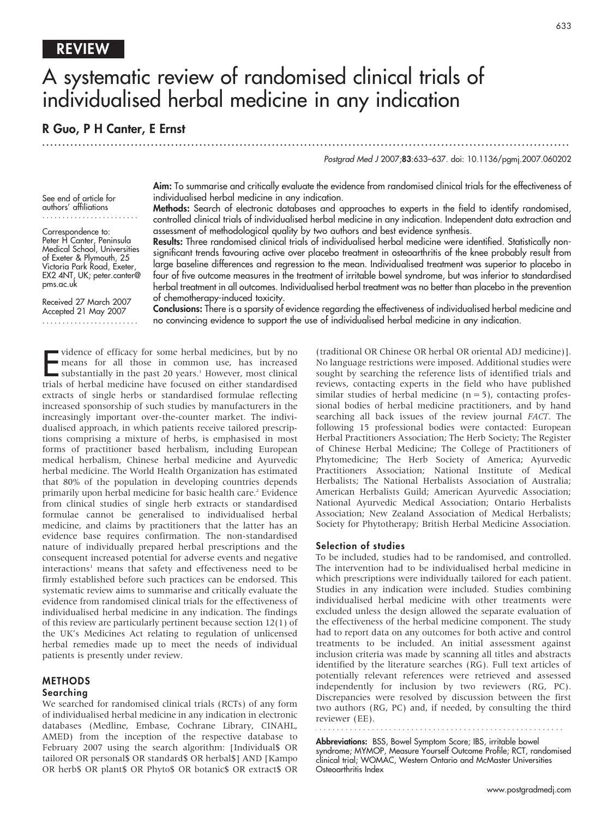# A systematic review of randomised clinical trials of individualised herbal medicine in any indication

............................................................... ............................................................... .....

R Guo, P H Canter, E Ernst

Postgrad Med J 2007;83:633–637. doi: 10.1136/pgmj.2007.060202

See end of article for authors' affiliations ........................

Correspondence to: Peter H Canter, Peninsula Medical School, Universities of Exeter & Plymouth, 25 Victoria Park Road, Exeter, EX2 4NT, UK; peter.canter@ pms.ac.uk

Received 27 March 2007 Accepted 21 May 2007 ........................ individualised herbal medicine in any indication. Methods: Search of electronic databases and approaches to experts in the field to identify randomised, controlled clinical trials of individualised herbal medicine in any indication. Independent data extraction and

Aim: To summarise and critically evaluate the evidence from randomised clinical trials for the effectiveness of

assessment of methodological quality by two authors and best evidence synthesis. Results: Three randomised clinical trials of individualised herbal medicine were identified. Statistically nonsignificant trends favouring active over placebo treatment in osteoarthritis of the knee probably result from large baseline differences and regression to the mean. Individualised treatment was superior to placebo in four of five outcome measures in the treatment of irritable bowel syndrome, but was inferior to standardised herbal treatment in all outcomes. Individualised herbal treatment was no better than placebo in the prevention of chemotherapy-induced toxicity.

Conclusions: There is a sparsity of evidence regarding the effectiveness of individualised herbal medicine and no convincing evidence to support the use of individualised herbal medicine in any indication.

Vidence of efficacy for some herbal medicines, but by no<br>means for all those in common use, has increased<br>substantially in the past 20 years.<sup>1</sup> However, most clinical<br>trials of herbal medicine have focused on either stand vidence of efficacy for some herbal medicines, but by no means for all those in common use, has increased substantially in the past  $20$  years.<sup>1</sup> However, most clinical extracts of single herbs or standardised formulae reflecting increased sponsorship of such studies by manufacturers in the increasingly important over-the-counter market. The individualised approach, in which patients receive tailored prescriptions comprising a mixture of herbs, is emphasised in most forms of practitioner based herbalism, including European medical herbalism, Chinese herbal medicine and Ayurvedic herbal medicine. The World Health Organization has estimated that 80% of the population in developing countries depends primarily upon herbal medicine for basic health care.<sup>2</sup> Evidence from clinical studies of single herb extracts or standardised formulae cannot be generalised to individualised herbal medicine, and claims by practitioners that the latter has an evidence base requires confirmation. The non-standardised nature of individually prepared herbal prescriptions and the consequent increased potential for adverse events and negative interactions<sup>1</sup> means that safety and effectiveness need to be firmly established before such practices can be endorsed. This systematic review aims to summarise and critically evaluate the evidence from randomised clinical trials for the effectiveness of individualised herbal medicine in any indication. The findings of this review are particularly pertinent because section 12(1) of the UK's Medicines Act relating to regulation of unlicensed herbal remedies made up to meet the needs of individual patients is presently under review.

#### METHODS Searching

We searched for randomised clinical trials (RCTs) of any form of individualised herbal medicine in any indication in electronic databases (Medline, Embase, Cochrane Library, CINAHL, AMED) from the inception of the respective database to February 2007 using the search algorithm: [Individual\$ OR tailored OR personal\$ OR standard\$ OR herbal\$] AND [Kampo OR herb\$ OR plant\$ OR Phyto\$ OR botanic\$ OR extract\$ OR

(traditional OR Chinese OR herbal OR oriental ADJ medicine)]. No language restrictions were imposed. Additional studies were sought by searching the reference lists of identified trials and reviews, contacting experts in the field who have published similar studies of herbal medicine  $(n = 5)$ , contacting professional bodies of herbal medicine practitioners, and by hand searching all back issues of the review journal FACT. The following 15 professional bodies were contacted: European Herbal Practitioners Association; The Herb Society; The Register of Chinese Herbal Medicine; The College of Practitioners of Phytomedicine; The Herb Society of America; Ayurvedic Practitioners Association; National Institute of Medical Herbalists; The National Herbalists Association of Australia; American Herbalists Guild; American Ayurvedic Association; National Ayurvedic Medical Association; Ontario Herbalists Association; New Zealand Association of Medical Herbalists; Society for Phytotherapy; British Herbal Medicine Association.

### Selection of studies

To be included, studies had to be randomised, and controlled. The intervention had to be individualised herbal medicine in which prescriptions were individually tailored for each patient. Studies in any indication were included. Studies combining individualised herbal medicine with other treatments were excluded unless the design allowed the separate evaluation of the effectiveness of the herbal medicine component. The study had to report data on any outcomes for both active and control treatments to be included. An initial assessment against inclusion criteria was made by scanning all titles and abstracts identified by the literature searches (RG). Full text articles of potentially relevant references were retrieved and assessed independently for inclusion by two reviewers (RG, PC). Discrepancies were resolved by discussion between the first two authors (RG, PC) and, if needed, by consulting the third reviewer (EE).

Abbreviations: BSS, Bowel Symptom Score; IBS, irritable bowel

syndrome; MYMOP, Measure Yourself Outcome Profile; RCT, randomised clinical trial; WOMAC, Western Ontario and McMaster Universities Osteoarthritis Index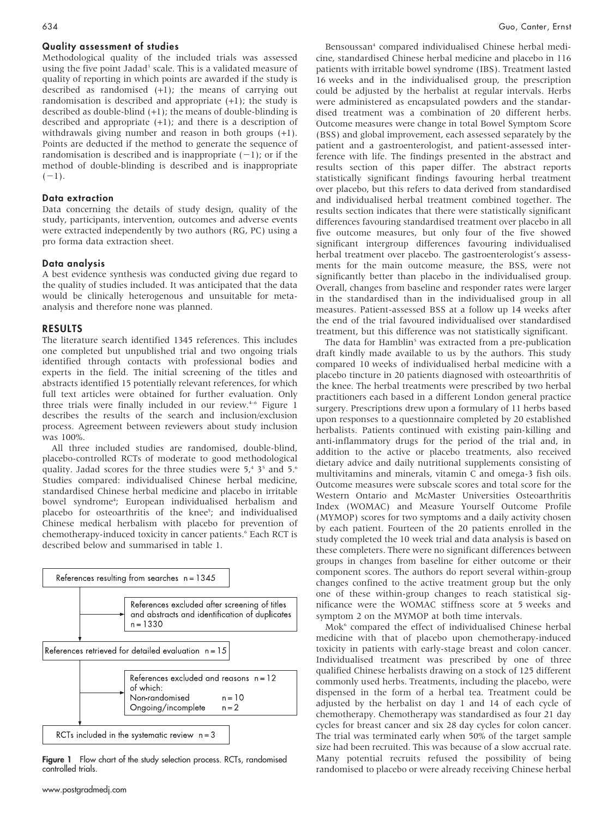#### Quality assessment of studies

Methodological quality of the included trials was assessed using the five point Jadad<sup>3</sup> scale. This is a validated measure of quality of reporting in which points are awarded if the study is described as randomised (+1); the means of carrying out randomisation is described and appropriate (+1); the study is described as double-blind (+1); the means of double-blinding is described and appropriate (+1); and there is a description of withdrawals giving number and reason in both groups (+1). Points are deducted if the method to generate the sequence of randomisation is described and is inappropriate  $(-1)$ ; or if the method of double-blinding is described and is inappropriate  $(-1)$ .

#### Data extraction

Data concerning the details of study design, quality of the study, participants, intervention, outcomes and adverse events were extracted independently by two authors (RG, PC) using a pro forma data extraction sheet.

### Data analysis

A best evidence synthesis was conducted giving due regard to the quality of studies included. It was anticipated that the data would be clinically heterogenous and unsuitable for metaanalysis and therefore none was planned.

#### RESULTS

The literature search identified 1345 references. This includes one completed but unpublished trial and two ongoing trials identified through contacts with professional bodies and experts in the field. The initial screening of the titles and abstracts identified 15 potentially relevant references, for which full text articles were obtained for further evaluation. Only three trials were finally included in our review. $4-6$  Figure 1 describes the results of the search and inclusion/exclusion process. Agreement between reviewers about study inclusion was 100%.

All three included studies are randomised, double-blind, placebo-controlled RCTs of moderate to good methodological quality. Jadad scores for the three studies were  $5<sup>4</sup>$ ,  $3<sup>5</sup>$  and  $5<sup>6</sup>$ . Studies compared: individualised Chinese herbal medicine, standardised Chinese herbal medicine and placebo in irritable bowel syndrome<sup>4</sup>; European individualised herbalism and placebo for osteoarthritis of the knee<sup>5</sup>; and individualised Chinese medical herbalism with placebo for prevention of chemotherapy-induced toxicity in cancer patients.<sup>6</sup> Each RCT is described below and summarised in table 1.



Figure 1 Flow chart of the study selection process. RCTs, randomised controlled trials.

Bensoussan<sup>4</sup> compared individualised Chinese herbal medicine, standardised Chinese herbal medicine and placebo in 116 patients with irritable bowel syndrome (IBS). Treatment lasted 16 weeks and in the individualised group, the prescription could be adjusted by the herbalist at regular intervals. Herbs were administered as encapsulated powders and the standardised treatment was a combination of 20 different herbs. Outcome measures were change in total Bowel Symptom Score (BSS) and global improvement, each assessed separately by the patient and a gastroenterologist, and patient-assessed interference with life. The findings presented in the abstract and results section of this paper differ. The abstract reports statistically significant findings favouring herbal treatment over placebo, but this refers to data derived from standardised and individualised herbal treatment combined together. The results section indicates that there were statistically significant differences favouring standardised treatment over placebo in all five outcome measures, but only four of the five showed significant intergroup differences favouring individualised herbal treatment over placebo. The gastroenterologist's assessments for the main outcome measure, the BSS, were not significantly better than placebo in the individualised group. Overall, changes from baseline and responder rates were larger in the standardised than in the individualised group in all measures. Patient-assessed BSS at a follow up 14 weeks after the end of the trial favoured individualised over standardised treatment, but this difference was not statistically significant.

The data for Hamblin<sup>5</sup> was extracted from a pre-publication draft kindly made available to us by the authors. This study compared 10 weeks of individualised herbal medicine with a placebo tincture in 20 patients diagnosed with osteoarthritis of the knee. The herbal treatments were prescribed by two herbal practitioners each based in a different London general practice surgery. Prescriptions drew upon a formulary of 11 herbs based upon responses to a questionnaire completed by 20 established herbalists. Patients continued with existing pain-killing and anti-inflammatory drugs for the period of the trial and, in addition to the active or placebo treatments, also received dietary advice and daily nutritional supplements consisting of multivitamins and minerals, vitamin C and omega-3 fish oils. Outcome measures were subscale scores and total score for the Western Ontario and McMaster Universities Osteoarthritis Index (WOMAC) and Measure Yourself Outcome Profile (MYMOP) scores for two symptoms and a daily activity chosen by each patient. Fourteen of the 20 patients enrolled in the study completed the 10 week trial and data analysis is based on these completers. There were no significant differences between groups in changes from baseline for either outcome or their component scores. The authors do report several within-group changes confined to the active treatment group but the only one of these within-group changes to reach statistical significance were the WOMAC stiffness score at 5 weeks and symptom 2 on the MYMOP at both time intervals.

Mok<sup>6</sup> compared the effect of individualised Chinese herbal medicine with that of placebo upon chemotherapy-induced toxicity in patients with early-stage breast and colon cancer. Individualised treatment was prescribed by one of three qualified Chinese herbalists drawing on a stock of 125 different commonly used herbs. Treatments, including the placebo, were dispensed in the form of a herbal tea. Treatment could be adjusted by the herbalist on day 1 and 14 of each cycle of chemotherapy. Chemotherapy was standardised as four 21 day cycles for breast cancer and six 28 day cycles for colon cancer. The trial was terminated early when 50% of the target sample size had been recruited. This was because of a slow accrual rate. Many potential recruits refused the possibility of being randomised to placebo or were already receiving Chinese herbal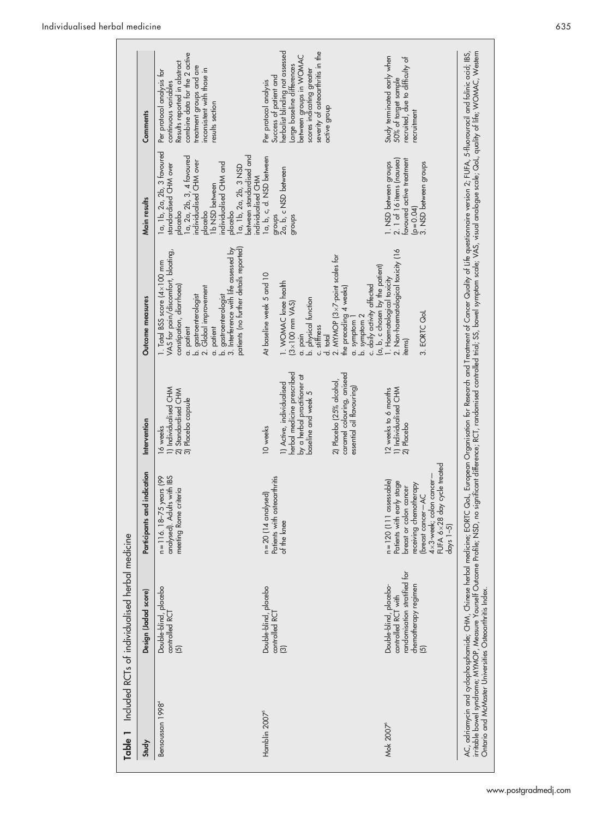$\mathsf{l}$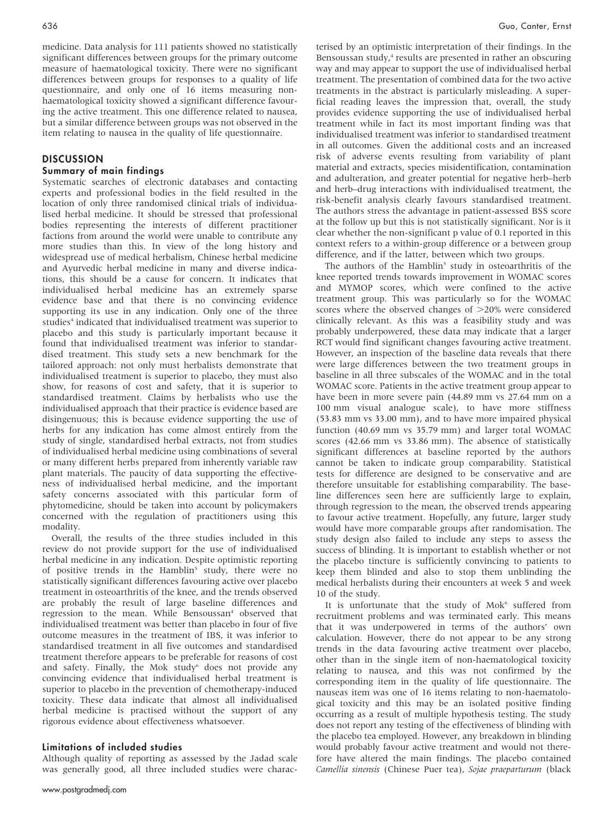medicine. Data analysis for 111 patients showed no statistically significant differences between groups for the primary outcome measure of haematological toxicity. There were no significant differences between groups for responses to a quality of life questionnaire, and only one of 16 items measuring nonhaematological toxicity showed a significant difference favouring the active treatment. This one difference related to nausea, but a similar difference between groups was not observed in the item relating to nausea in the quality of life questionnaire.

## **DISCUSSION**

## Summary of main findings

Systematic searches of electronic databases and contacting experts and professional bodies in the field resulted in the location of only three randomised clinical trials of individualised herbal medicine. It should be stressed that professional bodies representing the interests of different practitioner factions from around the world were unable to contribute any more studies than this. In view of the long history and widespread use of medical herbalism, Chinese herbal medicine and Ayurvedic herbal medicine in many and diverse indications, this should be a cause for concern. It indicates that individualised herbal medicine has an extremely sparse evidence base and that there is no convincing evidence supporting its use in any indication. Only one of the three studies<sup>4</sup> indicated that individualised treatment was superior to placebo and this study is particularly important because it found that individualised treatment was inferior to standardised treatment. This study sets a new benchmark for the tailored approach: not only must herbalists demonstrate that individualised treatment is superior to placebo, they must also show, for reasons of cost and safety, that it is superior to standardised treatment. Claims by herbalists who use the individualised approach that their practice is evidence based are disingenuous; this is because evidence supporting the use of herbs for any indication has come almost entirely from the study of single, standardised herbal extracts, not from studies of individualised herbal medicine using combinations of several or many different herbs prepared from inherently variable raw plant materials. The paucity of data supporting the effectiveness of individualised herbal medicine, and the important safety concerns associated with this particular form of phytomedicine, should be taken into account by policymakers concerned with the regulation of practitioners using this modality.

Overall, the results of the three studies included in this review do not provide support for the use of individualised herbal medicine in any indication. Despite optimistic reporting of positive trends in the Hamblin<sup>5</sup> study, there were no statistically significant differences favouring active over placebo treatment in osteoarthritis of the knee, and the trends observed are probably the result of large baseline differences and regression to the mean. While Bensoussan<sup>4</sup> observed that individualised treatment was better than placebo in four of five outcome measures in the treatment of IBS, it was inferior to standardised treatment in all five outcomes and standardised treatment therefore appears to be preferable for reasons of cost and safety. Finally, the Mok study<sup>6</sup> does not provide any convincing evidence that individualised herbal treatment is superior to placebo in the prevention of chemotherapy-induced toxicity. These data indicate that almost all individualised herbal medicine is practised without the support of any rigorous evidence about effectiveness whatsoever.

## Limitations of included studies

Although quality of reporting as assessed by the Jadad scale was generally good, all three included studies were charac-

terised by an optimistic interpretation of their findings. In the Bensoussan study,<sup>4</sup> results are presented in rather an obscuring way and may appear to support the use of individualised herbal treatment. The presentation of combined data for the two active treatments in the abstract is particularly misleading. A superficial reading leaves the impression that, overall, the study provides evidence supporting the use of individualised herbal treatment while in fact its most important finding was that individualised treatment was inferior to standardised treatment in all outcomes. Given the additional costs and an increased risk of adverse events resulting from variability of plant material and extracts, species misidentification, contamination and adulteration, and greater potential for negative herb–herb and herb–drug interactions with individualised treatment, the risk-benefit analysis clearly favours standardised treatment. The authors stress the advantage in patient-assessed BSS score at the follow up but this is not statistically significant. Nor is it clear whether the non-significant p value of 0.1 reported in this context refers to a within-group difference or a between group difference, and if the latter, between which two groups.

The authors of the Hamblin<sup>5</sup> study in osteoarthritis of the knee reported trends towards improvement in WOMAC scores and MYMOP scores, which were confined to the active treatment group. This was particularly so for the WOMAC scores where the observed changes of  $>20\%$  were considered clinically relevant. As this was a feasibility study and was probably underpowered, these data may indicate that a larger RCT would find significant changes favouring active treatment. However, an inspection of the baseline data reveals that there were large differences between the two treatment groups in baseline in all three subscales of the WOMAC and in the total WOMAC score. Patients in the active treatment group appear to have been in more severe pain (44.89 mm vs 27.64 mm on a 100 mm visual analogue scale), to have more stiffness (53.83 mm vs 33.00 mm), and to have more impaired physical function (40.69 mm vs 35.79 mm) and larger total WOMAC scores (42.66 mm vs 33.86 mm). The absence of statistically significant differences at baseline reported by the authors cannot be taken to indicate group comparability. Statistical tests for difference are designed to be conservative and are therefore unsuitable for establishing comparability. The baseline differences seen here are sufficiently large to explain, through regression to the mean, the observed trends appearing to favour active treatment. Hopefully, any future, larger study would have more comparable groups after randomisation. The study design also failed to include any steps to assess the success of blinding. It is important to establish whether or not the placebo tincture is sufficiently convincing to patients to keep them blinded and also to stop them unblinding the medical herbalists during their encounters at week 5 and week 10 of the study.

It is unfortunate that the study of Mok<sup>6</sup> suffered from recruitment problems and was terminated early. This means that it was underpowered in terms of the authors' own calculation. However, there do not appear to be any strong trends in the data favouring active treatment over placebo, other than in the single item of non-haematological toxicity relating to nausea, and this was not confirmed by the corresponding item in the quality of life questionnaire. The nauseas item was one of 16 items relating to non-haematological toxicity and this may be an isolated positive finding occurring as a result of multiple hypothesis testing. The study does not report any testing of the effectiveness of blinding with the placebo tea employed. However, any breakdown in blinding would probably favour active treatment and would not therefore have altered the main findings. The placebo contained Camellia sinensis (Chinese Puer tea), Sojae praeparturum (black